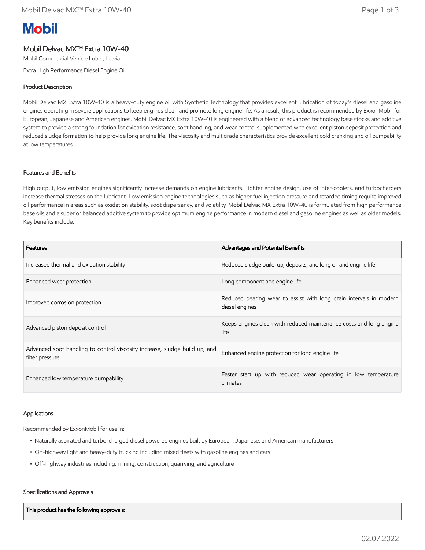# **Mobil**

## Mobil Delvac MX™ Extra 10W-40

Mobil Commercial Vehicle Lube , Latvia

Extra High Performance Diesel Engine Oil

### Product Description

Mobil Delvac MX Extra 10W-40 is a heavy-duty engine oil with Synthetic Technology that provides excellent lubrication of today's diesel and gasoline engines operating in severe applications to keep engines clean and promote long engine life. As a result, this product is recommended by ExxonMobil for European, Japanese and American engines. Mobil Delvac MX Extra 10W-40 is engineered with a blend of advanced technology base stocks and additive system to provide a strong foundation for oxidation resistance, soot handling, and wear control supplemented with excellent piston deposit protection and reduced sludge formation to help provide long engine life. The viscosity and multigrade characteristics provide excellent cold cranking and oil pumpability at low temperatures.

#### Features and Benefits

High output, low emission engines significantly increase demands on engine lubricants. Tighter engine design, use of inter-coolers, and turbochargers increase thermal stresses on the lubricant. Low emission engine technologies such as higher fuel injection pressure and retarded timing require improved oil performance in areas such as oxidation stability, soot dispersancy, and volatility. Mobil Delvac MX Extra 10W-40 is formulated from high performance base oils and a superior balanced additive system to provide optimum engine performance in modern diesel and gasoline engines as well as older models. Key benefits include:

| <b>Features</b>                                                                               | Advantages and Potential Benefits                                                    |
|-----------------------------------------------------------------------------------------------|--------------------------------------------------------------------------------------|
| Increased thermal and oxidation stability                                                     | Reduced sludge build-up, deposits, and long oil and engine life                      |
| Enhanced wear protection                                                                      | Long component and engine life                                                       |
| Improved corrosion protection                                                                 | Reduced bearing wear to assist with long drain intervals in modern<br>diesel engines |
| Advanced piston deposit control                                                               | Keeps engines clean with reduced maintenance costs and long engine<br>life           |
| Advanced soot handling to control viscosity increase, sludge build up, and<br>filter pressure | Enhanced engine protection for long engine life                                      |
| Enhanced low temperature pumpability                                                          | Faster start up with reduced wear operating in low temperature<br>climates           |

#### Applications

Recommended by ExxonMobil for use in:

- Naturally aspirated and turbo-charged diesel powered engines built by European, Japanese, and American manufacturers
- On-highway light and heavy-duty trucking including mixed fleets with gasoline engines and cars
- Off-highway industries including: mining, construction, quarrying, and agriculture

#### Specifications and Approvals

This product has the following approvals: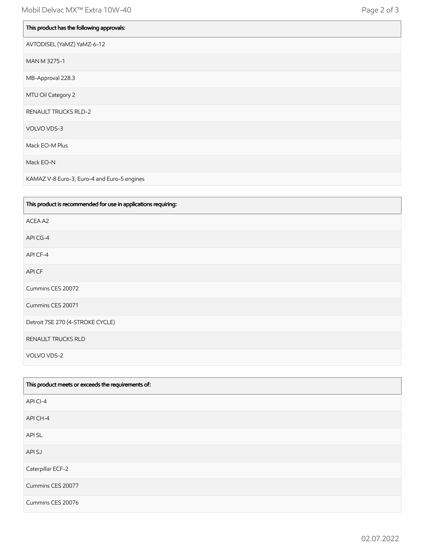| This product has the following approvals: |
|-------------------------------------------|
| AVTODISEL (YaMZ) YaMZ-6-12                |
| MAN M 3275-1                              |
| MB-Approval 228.3                         |
| MTU Oil Category 2                        |
| RENAULT TRUCKS RLD-2                      |
| VOLVO VDS-3                               |
| Mack EO-M Plus                            |
| Mack EO-N                                 |

KAMAZ V-8 Euro-3, Euro-4 and Euro-5 engines

| This product is recommended for use in applications requiring: |
|----------------------------------------------------------------|
| ACEA A2                                                        |
| API CG-4                                                       |
| API CF-4                                                       |
| API CF                                                         |
| Cummins CES 20072                                              |
| Cummins CES 20071                                              |
| Detroit 7SE 270 (4-STROKE CYCLE)                               |
| RENAULT TRUCKS RLD                                             |
| VOLVO VDS-2                                                    |

| This product meets or exceeds the requirements of: |
|----------------------------------------------------|
| API CI-4                                           |
| API CH-4                                           |
| API SL                                             |
| API SJ                                             |
| Caterpillar ECF-2                                  |
| Cummins CES 20077                                  |
| Cummins CES 20076                                  |